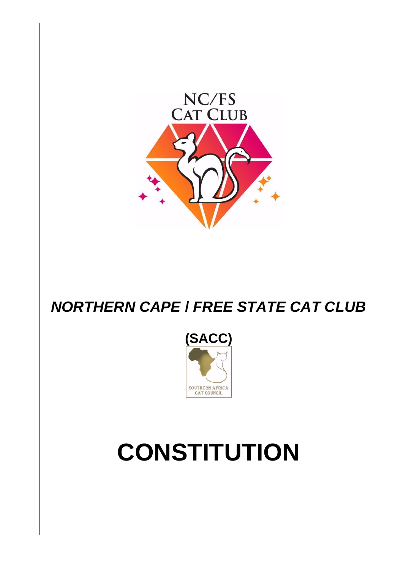

## *NORTHERN CAPE* **/** *FREE STATE CAT CLUB*



# **CONSTITUTION**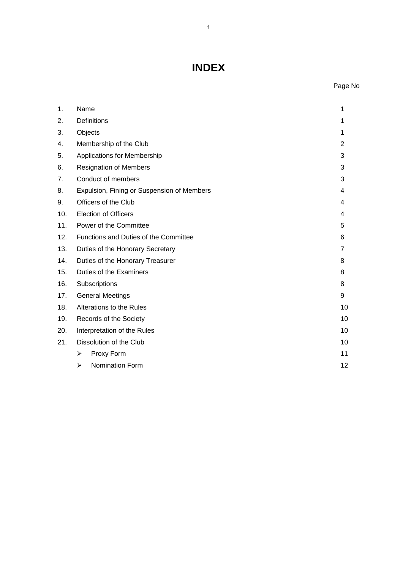## **INDEX**

### Page No

| 1.  | Name<br>1                                  |    |  |  |  |
|-----|--------------------------------------------|----|--|--|--|
| 2.  | <b>Definitions</b>                         |    |  |  |  |
| 3.  | Objects                                    |    |  |  |  |
| 4.  | Membership of the Club                     | 2  |  |  |  |
| 5.  | Applications for Membership                |    |  |  |  |
| 6.  | <b>Resignation of Members</b>              |    |  |  |  |
| 7.  | Conduct of members                         |    |  |  |  |
| 8.  | Expulsion, Fining or Suspension of Members |    |  |  |  |
| 9.  | Officers of the Club                       |    |  |  |  |
| 10. | <b>Election of Officers</b>                |    |  |  |  |
| 11. | Power of the Committee                     |    |  |  |  |
| 12. | Functions and Duties of the Committee      |    |  |  |  |
| 13. | Duties of the Honorary Secretary           |    |  |  |  |
| 14. | Duties of the Honorary Treasurer           | 8  |  |  |  |
| 15. | Duties of the Examiners                    |    |  |  |  |
| 16. | Subscriptions<br>8                         |    |  |  |  |
| 17. | <b>General Meetings</b>                    |    |  |  |  |
| 18. | Alterations to the Rules<br>10             |    |  |  |  |
| 19. | Records of the Society                     |    |  |  |  |
| 20. | Interpretation of the Rules                |    |  |  |  |
| 21. | Dissolution of the Club                    |    |  |  |  |
|     | Proxy Form<br>➤                            | 11 |  |  |  |
|     | Nomination Form<br>➤                       | 12 |  |  |  |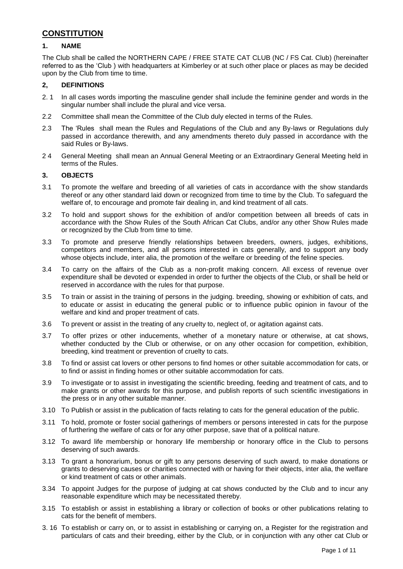#### **CONSTITUTION**

#### **1. NAME**

The Club shall be called the NORTHERN CAPE / FREE STATE CAT CLUB (NC / FS Cat. Club) (hereinafter referred to as the 'Club ) with headquarters at Kimberley or at such other place or places as may be decided upon by the Club from time to time.

#### **2, DEFINITIONS**

- 2. 1 In all cases words importing the masculine gender shall include the feminine gender and words in the singular number shall include the plural and vice versa.
- 2.2 Committee shall mean the Committee of the Club duly elected in terms of the Rules.
- 2.3 The 'Rules shall mean the Rules and Regulations of the Club and any By-laws or Regulations duly passed in accordance therewith, and any amendments thereto duly passed in accordance with the said Rules or By-laws.
- 2 4 General Meeting shall mean an Annual General Meeting or an Extraordinary General Meeting held in terms of the Rules.

#### **3. OBJECTS**

- 3.1 To promote the welfare and breeding of all varieties of cats in accordance with the show standards thereof or any other standard laid down or recognized from time to time by the Club. To safeguard the welfare of, to encourage and promote fair dealing in, and kind treatment of all cats.
- 3.2 To hold and support shows for the exhibition of and/or competition between all breeds of cats in accordance with the Show Rules of the South African Cat Clubs, and/or any other Show Rules made or recognized by the Club from time to time.
- 3.3 To promote and preserve friendly relationships between breeders, owners, judges, exhibitions, competitors and members, and all persons interested in cats generally, and to support any body whose objects include, inter alia, the promotion of the welfare or breeding of the feline species.
- 3.4 To carry on the affairs of the Club as a non-profit making concern. All excess of revenue over expenditure shall be devoted or expended in order to further the objects of the Club, or shall be held or reserved in accordance with the rules for that purpose.
- 3.5 To train or assist in the training of persons in the judging. breeding, showing or exhibition of cats, and to educate or assist in educating the general public or to influence public opinion in favour of the welfare and kind and proper treatment of cats.
- 3.6 To prevent or assist in the treating of any cruelty to, neglect of, or agitation against cats.
- 3.7 To offer prizes or other inducements, whether of a monetary nature or otherwise, at cat shows, whether conducted by the Club or otherwise, or on any other occasion for competition, exhibition, breeding, kind treatment or prevention of cruelty to cats.
- 3.8 To find or assist cat lovers or other persons to find homes or other suitable accommodation for cats, or to find or assist in finding homes or other suitable accommodation for cats.
- 3.9 To investigate or to assist in investigating the scientific breeding, feeding and treatment of cats, and to make grants or other awards for this purpose, and publish reports of such scientific investigations in the press or in any other suitable manner.
- 3.10 To Publish or assist in the publication of facts relating to cats for the general education of the public.
- 3.11 To hold, promote or foster social gatherings of members or persons interested in cats for the purpose of furthering the welfare of cats or for any other purpose, save that of a political nature.
- 3.12 To award life membership or honorary life membership or honorary office in the Club to persons deserving of such awards.
- 3.13 To grant a honorarium, bonus or gift to any persons deserving of such award, to make donations or grants to deserving causes or charities connected with or having for their objects, inter alia, the welfare or kind treatment of cats or other animals.
- 3.34 To appoint Judges for the purpose of judging at cat shows conducted by the Club and to incur any reasonable expenditure which may be necessitated thereby.
- 3.15 To establish or assist in establishing a library or collection of books or other publications relating to cats for the benefit of members.
- 3. 16 To establish or carry on, or to assist in establishing or carrying on, a Register for the registration and particulars of cats and their breeding, either by the Club, or in conjunction with any other cat Club or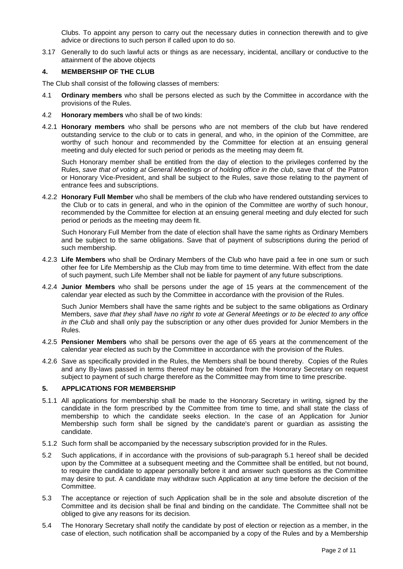Clubs. To appoint any person to carry out the necessary duties in connection therewith and to give advice or directions to such person if called upon to do so.

3.17 Generally to do such lawful acts or things as are necessary, incidental, ancillary or conductive to the attainment of the above objects

#### **4. MEMBERSHIP OF THE CLUB**

The Club shall consist of the following classes of members:

- 4.1 **Ordinary members** who shall be persons elected as such by the Committee in accordance with the provisions of the Rules.
- 4.2 **Honorary members** who shall be of two kinds:
- 4.2.1 **Honorary members** who shall be persons who are not members of the club but have rendered outstanding service to the club or to cats in general, and who, in the opinion of the Committee, are worthy of such honour and recommended by the Committee for election at an ensuing general meeting and duly elected for such period or periods as the meeting may deem fit.

Such Honorary member shall be entitled from the day of election to the privileges conferred by the Rules, *save that of voting at General Meetings or of holding office in the club*, save that of the Patron or Honorary Vice-President, and shall be subject to the Rules, save those relating to the payment of entrance fees and subscriptions.

4.2.2 **Honorary Full Member** who shall be members of the club who have rendered outstanding services to the Club or to cats in general, and who in the opinion of the Committee are worthy of such honour, recommended by the Committee for election at an ensuing general meeting and duly elected for such period or periods as the meeting may deem fit.

Such Honorary Full Member from the date of election shall have the same rights as Ordinary Members and be subject to the same obligations. Save that of payment of subscriptions during the period of such membership.

- 4.2.3 **Life Members** who shall be Ordinary Members of the Club who have paid a fee in one sum or such other fee for Life Membership as the Club may from time to time determine. With effect from the date of such payment, such Life Member shall not be liable for payment of any future subscriptions.
- 4.2.4 **Junior Members** who shall be persons under the age of 15 years at the commencement of the calendar year elected as such by the Committee in accordance with the provision of the Rules.

Such Junior Members shall have the same rights and be subject to the same obligations as Ordinary Members, *save that they shall have no right to vote at General Meetings or to be elected to any office in the Club* and shall only pay the subscription or any other dues provided for Junior Members in the Rules.

- 4.2.5 **Pensioner Members** who shall be persons over the age of 65 years at the commencement of the calendar year elected as such by the Committee in accordance with the provision of the Rules.
- 4.2.6 Save as specifically provided in the Rules, the Members shall be bound thereby. Copies of the Rules and any By-laws passed in terms thereof may be obtained from the Honorary Secretary on request subject to payment of such charge therefore as the Committee may from time to time prescribe.

#### **5. APPLICATIONS FOR MEMBERSHIP**

- 5.1.1 All applications for membership shall be made to the Honorary Secretary in writing, signed by the candidate in the form prescribed by the Committee from time to time, and shall state the class of membership to which the candidate seeks election. In the case of an Application for Junior Membership such form shall be signed by the candidate's parent or guardian as assisting the candidate.
- 5.1.2 Such form shall be accompanied by the necessary subscription provided for in the Rules.
- 5.2 Such applications, if in accordance with the provisions of sub-paragraph 5.1 hereof shall be decided upon by the Committee at a subsequent meeting and the Committee shall be entitled, but not bound, to require the candidate to appear personally before it and answer such questions as the Committee may desire to put. A candidate may withdraw such Application at any time before the decision of the Committee.
- 5.3 The acceptance or rejection of such Application shall be in the sole and absolute discretion of the Committee and its decision shall be final and binding on the candidate. The Committee shall not be obliged to give any reasons for its decision.
- 5.4 The Honorary Secretary shall notify the candidate by post of election or rejection as a member, in the case of election, such notification shall be accompanied by a copy of the Rules and by a Membership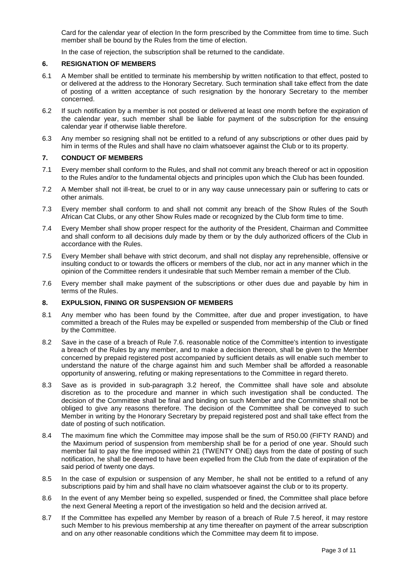Card for the calendar year of election In the form prescribed by the Committee from time to time. Such member shall be bound by the Rules from the time of election.

In the case of rejection, the subscription shall be returned to the candidate.

#### **6. RESIGNATION OF MEMBERS**

- 6.1 A Member shall be entitled to terminate his membership by written notification to that effect, posted to or delivered at the address to the Honorary Secretary. Such termination shall take effect from the date of posting of a written acceptance of such resignation by the honorary Secretary to the member concerned.
- 6.2 If such notification by a member is not posted or delivered at least one month before the expiration of the calendar year, such member shall be liable for payment of the subscription for the ensuing calendar year if otherwise liable therefore.
- 6.3 Any member so resigning shall not be entitled to a refund of any subscriptions or other dues paid by him in terms of the Rules and shall have no claim whatsoever against the Club or to its property.

#### **7. CONDUCT OF MEMBERS**

- 7.1 Every member shall conform to the Rules, and shall not commit any breach thereof or act in opposition to the Rules and/or to the fundamental objects and principles upon which the Club has been founded.
- 7.2 A Member shall not ill-treat, be cruel to or in any way cause unnecessary pain or suffering to cats or other animals.
- 7.3 Every member shall conform to and shall not commit any breach of the Show Rules of the South African Cat Clubs, or any other Show Rules made or recognized by the Club form time to time.
- 7.4 Every Member shall show proper respect for the authority of the President, Chairman and Committee and shall conform to all decisions duly made by them or by the duly authorized officers of the Club in accordance with the Rules.
- 7.5 Every Member shall behave with strict decorum, and shall not display any reprehensible, offensive or insulting conduct to or towards the officers or members of the club, nor act in any manner which in the opinion of the Committee renders it undesirable that such Member remain a member of the Club.
- 7.6 Every member shall make payment of the subscriptions or other dues due and payable by him in terms of the Rules.

#### **8. EXPULSION, FINING OR SUSPENSION OF MEMBERS**

- 8.1 Any member who has been found by the Committee, after due and proper investigation, to have committed a breach of the Rules may be expelled or suspended from membership of the Club or fined by the Committee.
- 8.2 Save in the case of a breach of Rule 7.6. reasonable notice of the Committee's intention to investigate a breach of the Rules by any member, and to make a decision thereon, shall be given to the Member concerned by prepaid registered post accompanied by sufficient details as will enable such member to understand the nature of the charge against him and such Member shall be afforded a reasonable opportunity of answering, refuting or making representations to the Committee in regard thereto.
- 8.3 Save as is provided in sub-paragraph 3.2 hereof, the Committee shall have sole and absolute discretion as to the procedure and manner in which such investigation shall be conducted. The decision of the Committee shall be final and binding on such Member and the Committee shall not be obliged to give any reasons therefore. The decision of the Committee shall be conveyed to such Member in writing by the Honorary Secretary by prepaid registered post and shall take effect from the date of posting of such notification.
- 8.4 The maximum fine which the Committee may impose shall be the sum of R50.00 (FIFTY RAND) and the Maximum period of suspension from membership shall be for a period of one year. Should such member fail to pay the fine imposed within 21 (TWENTY ONE) days from the date of posting of such notification, he shall be deemed to have been expelled from the Club from the date of expiration of the said period of twenty one days.
- 8.5 In the case of expulsion or suspension of any Member, he shall not be entitled to a refund of any subscriptions paid by him and shall have no claim whatsoever against the club or to its property.
- 8.6 In the event of any Member being so expelled, suspended or fined, the Committee shall place before the next General Meeting a report of the investigation so held and the decision arrived at.
- 8.7 If the Committee has expelled any Member by reason of a breach of Rule 7.5 hereof, it may restore such Member to his previous membership at any time thereafter on payment of the arrear subscription and on any other reasonable conditions which the Committee may deem fit to impose.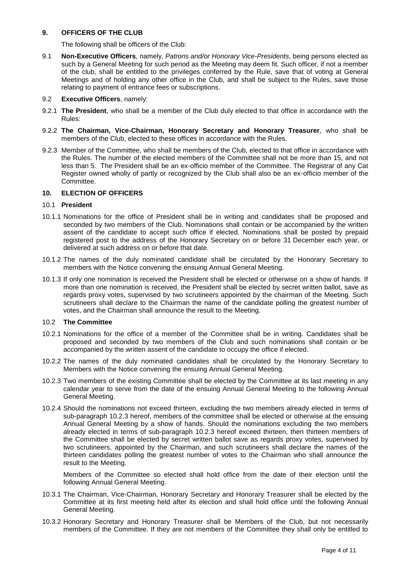#### **9. OFFICERS OF THE CLUB**

The following shall be officers of the Club:

9.1 **Non-Executive Officers**, namely, *Patrons and/or Honorary Vice-Presidents*, being persons elected as such by a General Meeting for such period as the Meeting may deem fit. Such officer, if not a member of the club, shall be entitled to the privileges conferred by the Rule, save that of voting at General Meetings and of holding any other office in the Club, and shall be subject to the Rules, save those relating to payment of entrance fees or subscriptions.

#### 9.2 **Executive Officers**, namely:

- 9.2.1 **The President**, who shall be a member of the Club duly elected to that office in accordance with the Rules:
- 9.2.2 **The Chairman, Vice-Chairman, Honorary Secretary and Honorary Treasurer**, who shall be members of the Club, elected to these offices in accordance with the Rules.
- 9.2.3 Member of the Committee, who shall be members of the Club, elected to that office in accordance with the Rules. The number of the elected members of the Committee shall not be more than 15, and not less than 5. The President shall be an ex-officio member of the Committee. The Registrar of any Cat Register owned wholly of partly or recognized by the Club shall also be an ex-officio member of the Committee.

#### **10. ELECTION OF OFFICERS**

#### 10.1 **President**

- 10.1.1 Nominations for the office of President shall be in writing and candidates shall be proposed and seconded by two members of the Club. Nominations shall contain or be accompanied by the written assent of the candidate to accept such office if elected. Nominations shall be posted by prepaid registered post to the address of the Honorary Secretary on or before 31 December each year, or delivered at such address on or before that date.
- 10.1.2 The names of the duly nominated candidate shall be circulated by the Honorary Secretary to members with the Notice convening the ensuing Annual General Meeting.
- 10.1.3 If only one nomination is received the President shall be elected or otherwise on a show of hands. If more than one nomination is received, the President shall be elected by secret written ballot, save as regards proxy votes, supervised by two scrutineers appointed by the chairman of the Meeting. Such scrutineers shall declare to the Chairman the name of the candidate polling the greatest number of votes, and the Chairman shall announce the result to the Meeting.

#### 10.2 **The Committee**

- 10.2.1 Nominations for the office of a member of the Committee shall be in writing. Candidates shall be proposed and seconded by two members of the Club and such nominations shall contain or be accompanied by the written assent of the candidate to occupy the office if elected.
- 10.2.2 The names of the duly nominated candidates shall be circulated by the Honorary Secretary to Members with the Notice convening the ensuing Annual General Meeting.
- 10.2.3 Two members of the existing Committee shall be elected by the Committee at its last meeting in any calendar year to serve from the date of the ensuing Annual General Meeting to the following Annual General Meeting.
- 10.2.4 Should the nominations not exceed thirteen, excluding the two members already elected in terms of sub-paragraph 10.2.3 hereof, members of the committee shall be elected or otherwise at the ensuing Annual General Meeting by a show of hands. Should the nominations excluding the two members already elected in terms of sub-paragraph 10.2.3 hereof exceed thirteen, then thirteen members of the Committee shall be elected by secret written ballot save as regards proxy votes, supervised by two scrutineers, appointed by the Chairman, and such scrutineers shall declare the names of the thirteen candidates polling the greatest number of votes to the Chairman who shall announce the result to the Meeting.

Members of the Committee so elected shall hold office from the date of their election until the following Annual General Meeting.

- 10.3.1 The Chairman, Vice-Chairman, Honorary Secretary and Honorary Treasurer shall be elected by the Committee at its first meeting held after its election and shall hold office until the following Annual General Meeting.
- 10.3.2 Honorary Secretary and Honorary Treasurer shall be Members of the Club, but not necessarily members of the Committee. If they are not members of the Committee they shall only be entitled to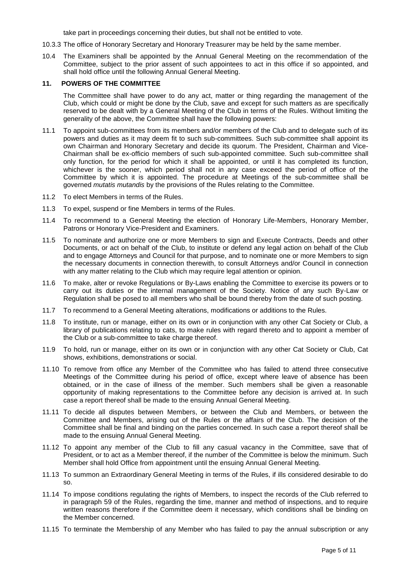take part in proceedings concerning their duties, but shall not be entitled to vote.

- 10.3.3 The office of Honorary Secretary and Honorary Treasurer may be held by the same member.
- 10.4 The Examiners shall be appointed by the Annual General Meeting on the recommendation of the Committee, subject to the prior assent of such appointees to act in this office if so appointed, and shall hold office until the following Annual General Meeting.

#### **11. POWERS OF THE COMMITTEE**

The Committee shall have power to do any act, matter or thing regarding the management of the Club, which could or might be done by the Club, save and except for such matters as are specifically reserved to be dealt with by a General Meeting of the Club in terms of the Rules. Without limiting the generality of the above, the Committee shall have the following powers:

- 11.1 To appoint sub-committees from its members and/or members of the Club and to delegate such of its powers and duties as it may deem fit to such sub-committees. Such sub-committee shall appoint its own Chairman and Honorary Secretary and decide its quorum. The President, Chairman and Vice-Chairman shall be ex-officio members of such sub-appointed committee. Such sub-committee shall only function, for the period for which it shall be appointed, or until it has completed its function, whichever is the sooner, which period shall not in any case exceed the period of office of the Committee by which it is appointed. The procedure at Meetings of the sub-committee shall be governed *mutatis mutandis* by the provisions of the Rules relating to the Committee.
- 11.2 To elect Members in terms of the Rules.
- 11.3 To expel, suspend or fine Members in terms of the Rules.
- 11.4 To recommend to a General Meeting the election of Honorary Life-Members, Honorary Member, Patrons or Honorary Vice-President and Examiners.
- 11.5 To nominate and authorize one or more Members to sign and Execute Contracts, Deeds and other Documents, or act on behalf of the Club, to institute or defend any legal action on behalf of the Club and to engage Attorneys and Council for that purpose, and to nominate one or more Members to sign the necessary documents in connection therewith, to consult Attorneys and/or Council in connection with any matter relating to the Club which may require legal attention or opinion.
- 11.6 To make, alter or revoke Regulations or By-Laws enabling the Committee to exercise its powers or to carry out its duties or the internal management of the Society. Notice of any such By-Law or Regulation shall be posed to all members who shall be bound thereby from the date of such posting.
- 11.7 To recommend to a General Meeting alterations, modifications or additions to the Rules.
- 11.8 To institute, run or manage, either on its own or in conjunction with any other Cat Society or Club, a library of publications relating to cats, to make rules with regard thereto and to appoint a member of the Club or a sub-committee to take charge thereof.
- 11.9 To hold, run or manage, either on its own or in conjunction with any other Cat Society or Club, Cat shows, exhibitions, demonstrations or social.
- 11.10 To remove from office any Member of the Committee who has failed to attend three consecutive Meetings of the Committee during his period of office, except where leave of absence has been obtained, or in the case of illness of the member. Such members shall be given a reasonable opportunity of making representations to the Committee before any decision is arrived at. In such case a report thereof shall be made to the ensuing Annual General Meeting.
- 11.11 To decide all disputes between Members, or between the Club and Members, or between the Committee and Members, arising out of the Rules or the affairs of the Club. The decision of the Committee shall be final and binding on the parties concerned. In such case a report thereof shall be made to the ensuing Annual General Meeting.
- 11.12 To appoint any member of the Club to fill any casual vacancy in the Committee, save that of President, or to act as a Member thereof, if the number of the Committee is below the minimum. Such Member shall hold Office from appointment until the ensuing Annual General Meeting.
- 11.13 To summon an Extraordinary General Meeting in terms of the Rules, if ills considered desirable to do so.
- 11.14 To impose conditions regulating the rights of Members, to inspect the records of the Club referred to in paragraph 59 of the Rules, regarding the time, manner and method of inspections, and to require written reasons therefore if the Committee deem it necessary, which conditions shall be binding on the Member concerned.
- 11.15 To terminate the Membership of any Member who has failed to pay the annual subscription or any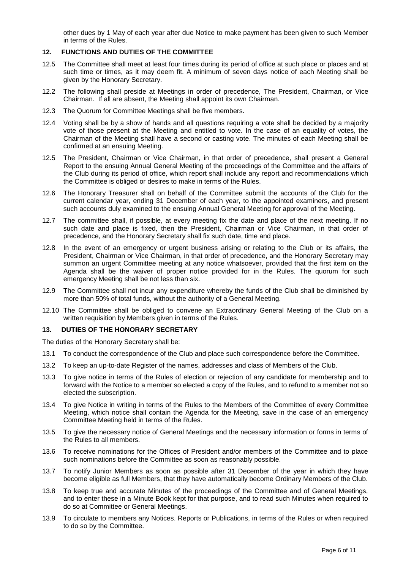other dues by 1 May of each year after due Notice to make payment has been given to such Member in terms of the Rules.

#### **12. FUNCTIONS AND DUTIES OF THE COMMITTEE**

- 12.5 The Committee shall meet at least four times during its period of office at such place or places and at such time or times, as it may deem fit. A minimum of seven days notice of each Meeting shall be given by the Honorary Secretary.
- 12.2 The following shall preside at Meetings in order of precedence, The President, Chairman, or Vice Chairman. If all are absent, the Meeting shall appoint its own Chairman.
- 12.3 The Quorum for Committee Meetings shall be five members.
- 12.4 Voting shall be by a show of hands and all questions requiring a vote shall be decided by a majority vote of those present at the Meeting and entitled to vote. In the case of an equality of votes, the Chairman of the Meeting shall have a second or casting vote. The minutes of each Meeting shall be confirmed at an ensuing Meeting.
- 12.5 The President, Chairman or Vice Chairman, in that order of precedence, shall present a General Report to the ensuing Annual General Meeting of the proceedings of the Committee and the affairs of the Club during its period of office, which report shall include any report and recommendations which the Committee is obliged or desires to make in terms of the Rules.
- 12.6 The Honorary Treasurer shall on behalf of the Committee submit the accounts of the Club for the current calendar year, ending 31 December of each year, to the appointed examiners, and present such accounts duly examined to the ensuing Annual General Meeting for approval of the Meeting.
- 12.7 The committee shall, if possible, at every meeting fix the date and place of the next meeting. If no such date and place is fixed, then the President, Chairman or Vice Chairman, in that order of precedence, and the Honorary Secretary shall fix such date, time and place.
- 12.8 In the event of an emergency or urgent business arising or relating to the Club or its affairs, the President, Chairman or Vice Chairman, in that order of precedence, and the Honorary Secretary may summon an urgent Committee meeting at any notice whatsoever, provided that the first item on the Agenda shall be the waiver of proper notice provided for in the Rules. The quorum for such emergency Meeting shall be not less than six.
- 12.9 The Committee shall not incur any expenditure whereby the funds of the Club shall be diminished by more than 50% of total funds, without the authority of a General Meeting.
- 12.10 The Committee shall be obliged to convene an Extraordinary General Meeting of the Club on a written requisition by Members given in terms of the Rules.

#### **13. DUTIES OF THE HONORARY SECRETARY**

The duties of the Honorary Secretary shall be:

- 13.1 To conduct the correspondence of the Club and place such correspondence before the Committee.
- 13.2 To keep an up-to-date Register of the names, addresses and class of Members of the Club.
- 13.3 To give notice in terms of the Rules of election or rejection of any candidate for membership and to forward with the Notice to a member so elected a copy of the Rules, and to refund to a member not so elected the subscription.
- 13.4 To give Notice in writing in terms of the Rules to the Members of the Committee of every Committee Meeting, which notice shall contain the Agenda for the Meeting, save in the case of an emergency Committee Meeting held in terms of the Rules.
- 13.5 To give the necessary notice of General Meetings and the necessary information or forms in terms of the Rules to all members.
- 13.6 To receive nominations for the Offices of President and/or members of the Committee and to place such nominations before the Committee as soon as reasonably possible.
- 13.7 To notify Junior Members as soon as possible after 31 December of the year in which they have become eligible as full Members, that they have automatically become Ordinary Members of the Club.
- 13.8 To keep true and accurate Minutes of the proceedings of the Committee and of General Meetings, and to enter these in a Minute Book kept for that purpose, and to read such Minutes when required to do so at Committee or General Meetings.
- 13.9 To circulate to members any Notices. Reports or Publications, in terms of the Rules or when required to do so by the Committee.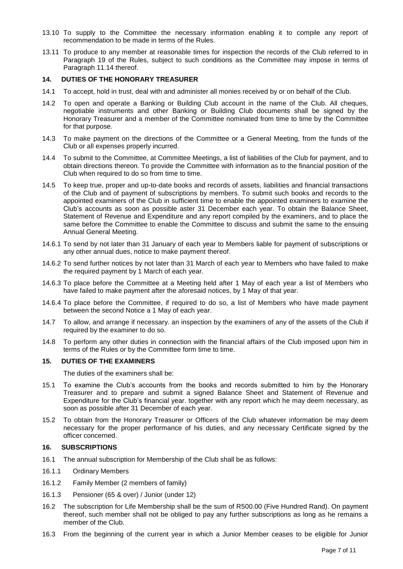- 13.10 To supply to the Committee the necessary information enabling it to compile any report of recommendation to be made in terms of the Rules.
- 13.11 To produce to any member at reasonable times for inspection the records of the Club referred to in Paragraph 19 of the Rules, subject to such conditions as the Committee may impose in terms of Paragraph 11.14 thereof.

#### **14. DUTIES OF THE HONORARY TREASURER**

- 14.1 To accept, hold in trust, deal with and administer all monies received by or on behalf of the Club.
- 14.2 To open and operate a Banking or Building Club account in the name of the Club. All cheques, negotiable instruments and other Banking or Building Club documents shall be signed by the Honorary Treasurer and a member of the Committee nominated from time to time by the Committee for that purpose.
- 14.3 To make payment on the directions of the Committee or a General Meeting, from the funds of the Club or all expenses properly incurred.
- 14.4 To submit to the Committee, at Committee Meetings, a list of liabilities of the Club for payment, and to obtain directions thereon. To provide the Committee with information as to the financial position of the Club when required to do so from time to time.
- 14.5 To keep true, proper and up-to-date books and records of assets, liabilities and financial transactions of the Club and of payment of subscriptions by members. To submit such books and records to the appointed examiners of the Club in sufficient time to enable the appointed examiners to examine the Club's accounts as soon as possible aster 31 December each year. To obtain the Balance Sheet, Statement of Revenue and Expenditure and any report compiled by the examiners, and to place the same before the Committee to enable the Committee to discuss and submit the same to the ensuing Annual General Meeting.
- 14.6.1 To send by not later than 31 January of each year to Members liable for payment of subscriptions or any other annual dues, notice to make payment thereof.
- 14.6.2 To send further notices by not later than 31 March of each year to Members who have failed to make the required payment by 1 March of each year.
- 14.6.3 To place before the Committee at a Meeting held after 1 May of each year a list of Members who have failed to make payment after the aforesaid notices, by 1 May of that year.
- 14.6.4 To place before the Committee, if required to do so, a list of Members who have made payment between the second Notice a 1 May of each year.
- 14.7 To allow, and arrange if necessary. an inspection by the examiners of any of the assets of the Club if required by the examiner to do so.
- 14.8 To perform any other duties in connection with the financial affairs of the Club imposed upon him in terms of the Rules or by the Committee form time to time.

#### **15. DUTIES OF THE EXAMINERS**

The duties of the examiners shall be:

- 15.1 To examine the Club's accounts from the books and records submitted to him by the Honorary Treasurer and to prepare and submit a signed Balance Sheet and Statement of Revenue and Expenditure for the Club's financial year. together with any report which he may deem necessary, as soon as possible after 31 December of each year.
- 15.2 To obtain from the Honorary Treasurer or Officers of the Club whatever information be may deem necessary for the proper performance of his duties, and any necessary Certificate signed by the officer concerned.

#### **16. SUBSCRIPTIONS**

- 16.1 The annual subscription for Membership of the Club shall be as follows:
- 16.1.1 Ordinary Members
- 16.1.2 Family Member (2 members of family)
- 16.1.3 Pensioner (65 & over) / Junior (under 12)
- 16.2 The subscription for Life Membership shall be the sum of R500.00 (Five Hundred Rand). On payment thereof, such member shall not be obliged to pay any further subscriptions as long as he remains a member of the Club.
- 16.3 From the beginning of the current year in which a Junior Member ceases to be eligible for Junior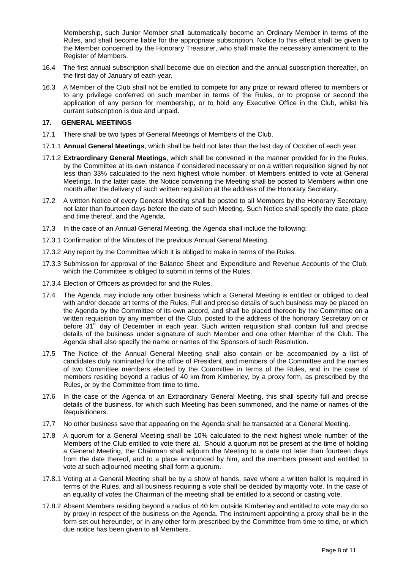Membership, such Junior Member shall automatically become an Ordinary Member in terms of the Rules, and shall become liable for the appropriate subscription. Notice to this effect shall be given to the Member concerned by the Honorary Treasurer, who shall make the necessary amendment to the Register of Members.

- 16.4 The first annual subscription shall become due on election and the annual subscription thereafter, on the first day of January of each year.
- 16.3 A Member of the Club shall not be entitled to compete for any prize or reward offered to members or to any privilege conferred on such member in terms of the Rules, or to propose or second the application of any person for membership, or to hold any Executive Office in the Club, whilst his currant subscription is due and unpaid.

#### **17. GENERAL MEETINGS**

- 17.1 There shall be two types of General Meetings of Members of the Club.
- 17.1.1 **Annual General Meetings**, which shall be held not later than the last day of October of each year.
- 17.1.2 **Extraordinary General Meetings**, which shall be convened in the manner provided for in the Rules, by the Committee at its own instance if considered necessary or on a written requisition signed by not less than 33% calculated to the next highest whole number, of Members entitled to vote at General Meetings. In the latter case, the Notice convening the Meeting shall be posted to Members within one month after the delivery of such written requisition at the address of the Honorary Secretary.
- 17.2 A written Notice of every General Meeting shall be posted to all Members by the Honorary Secretary, not later than fourteen days before the date of such Meeting. Such Notice shall specify the date, place and time thereof, and the Agenda.
- 17.3 In the case of an Annual General Meeting, the Agenda shall include the following:
- 17.3.1 Confirmation of the Minutes of the previous Annual General Meeting.
- 17.3.2 Any report by the Committee which it is obliged to make in terms of the Rules.
- 17.3.3 Submission for approval of the Balance Sheet and Expenditure and Revenue Accounts of the Club, which the Committee is obliged to submit in terms of the Rules.
- 17.3.4 Election of Officers as provided for and the Rules.
- 17.4 The Agenda may include any other business which a General Meeting is entitled or obliged to deal with and/or decade art terms of the Rules. Full and precise details of such business may be placed on the Agenda by the Committee of its own accord, and shall be placed thereon by the Committee on a written requisition by any member of the Club, posted to the address of the honorary Secretary on or before 31<sup>st</sup> day of December in each year. Such written requisition shall contain full and precise details of the business under signature of such Member and one other Member of the Club. The Agenda shall also specify the name or names of the Sponsors of such Resolution.
- 17.5 The Notice of the Annual General Meeting shall also contain or be accompanied by a list of candidates duly nominated for the office of President, and members of the Committee and the names of two Committee members elected by the Committee in terms of the Rules, and in the case of members residing beyond a radius of 40 km from Kimberley, by a proxy form, as prescribed by the Rules, or by the Committee from time to time.
- 17.6 In the case of the Agenda of an Extraordinary General Meeting, this shall specify full and precise details of the business, for which such Meeting has been summoned, and the name or names of the Requisitioners.
- 17.7 No other business save that appearing on the Agenda shall be transacted at a General Meeting.
- 17.8 A quorum for a General Meeting shall be 10% calculated to the next highest whole number of the Members of the Club entitled to vote there at. Should a quorum not be present at the time of holding a General Meeting, the Chairman shall adjourn the Meeting to a date not later than fourteen days from the date thereof, and to a place announced by him, and the members present and entitled to vote at such adjourned meeting shall form a quorum.
- 17.8.1 Voting at a General Meeting shall be by a show of hands, save where a written ballot is required in terms of the Rules, and all business requiring a vote shall be decided by majority vote. In the case of an equality of votes the Chairman of the meeting shall be entitled to a second or casting vote.
- 17.8.2 Absent Members residing beyond a radius of 40 km outside Kimberley and entitled to vote may do so by proxy in respect of the business on the Agenda. The instrument appointing a proxy shall be in the form set out hereunder, or in any other form prescribed by the Committee from time to time, or which due notice has been given to all Members.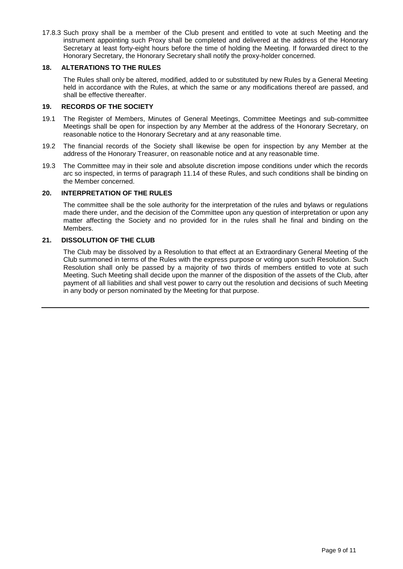17.8.3 Such proxy shall be a member of the Club present and entitled to vote at such Meeting and the instrument appointing such Proxy shall be completed and delivered at the address of the Honorary Secretary at least forty-eight hours before the time of holding the Meeting. If forwarded direct to the Honorary Secretary, the Honorary Secretary shall notify the proxy-holder concerned.

#### **18. ALTERATIONS TO THE RULES**

The Rules shall only be altered, modified, added to or substituted by new Rules by a General Meeting held in accordance with the Rules, at which the same or any modifications thereof are passed, and shall be effective thereafter.

#### **19. RECORDS OF THE SOCIETY**

- 19.1 The Register of Members, Minutes of General Meetings, Committee Meetings and sub-committee Meetings shall be open for inspection by any Member at the address of the Honorary Secretary, on reasonable notice to the Honorary Secretary and at any reasonable time.
- 19.2 The financial records of the Society shall likewise be open for inspection by any Member at the address of the Honorary Treasurer, on reasonable notice and at any reasonable time.
- 19.3 The Committee may in their sole and absolute discretion impose conditions under which the records arc so inspected, in terms of paragraph 11.14 of these Rules, and such conditions shall be binding on the Member concerned.

#### **20. INTERPRETATION OF THE RULES**

The committee shall be the sole authority for the interpretation of the rules and bylaws or regulations made there under, and the decision of the Committee upon any question of interpretation or upon any matter affecting the Society and no provided for in the rules shall he final and binding on the Members.

#### **21. DISSOLUTION OF THE CLUB**

The Club may be dissolved by a Resolution to that effect at an Extraordinary General Meeting of the Club summoned in terms of the Rules with the express purpose or voting upon such Resolution. Such Resolution shall only be passed by a majority of two thirds of members entitled to vote at such Meeting. Such Meeting shall decide upon the manner of the disposition of the assets of the Club, after payment of all liabilities and shall vest power to carry out the resolution and decisions of such Meeting in any body or person nominated by the Meeting for that purpose.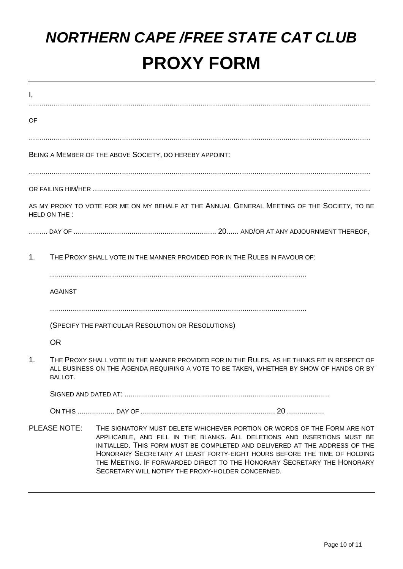## *NORTHERN CAPE /FREE STATE CAT CLUB* **PROXY FORM**

| Ι,                                                      |                                                                                                                                                                                                           |                                                                                                                                                                                                                                                                                                                                                                                                                                                 |  |  |  |  |  |
|---------------------------------------------------------|-----------------------------------------------------------------------------------------------------------------------------------------------------------------------------------------------------------|-------------------------------------------------------------------------------------------------------------------------------------------------------------------------------------------------------------------------------------------------------------------------------------------------------------------------------------------------------------------------------------------------------------------------------------------------|--|--|--|--|--|
| OF                                                      |                                                                                                                                                                                                           |                                                                                                                                                                                                                                                                                                                                                                                                                                                 |  |  |  |  |  |
|                                                         |                                                                                                                                                                                                           |                                                                                                                                                                                                                                                                                                                                                                                                                                                 |  |  |  |  |  |
| BEING A MEMBER OF THE ABOVE SOCIETY, DO HEREBY APPOINT: |                                                                                                                                                                                                           |                                                                                                                                                                                                                                                                                                                                                                                                                                                 |  |  |  |  |  |
|                                                         |                                                                                                                                                                                                           |                                                                                                                                                                                                                                                                                                                                                                                                                                                 |  |  |  |  |  |
|                                                         |                                                                                                                                                                                                           |                                                                                                                                                                                                                                                                                                                                                                                                                                                 |  |  |  |  |  |
|                                                         | HELD ON THE :                                                                                                                                                                                             | AS MY PROXY TO VOTE FOR ME ON MY BEHALF AT THE ANNUAL GENERAL MEETING OF THE SOCIETY, TO BE                                                                                                                                                                                                                                                                                                                                                     |  |  |  |  |  |
|                                                         |                                                                                                                                                                                                           |                                                                                                                                                                                                                                                                                                                                                                                                                                                 |  |  |  |  |  |
| 1 <sub>1</sub>                                          |                                                                                                                                                                                                           | THE PROXY SHALL VOTE IN THE MANNER PROVIDED FOR IN THE RULES IN FAVOUR OF:                                                                                                                                                                                                                                                                                                                                                                      |  |  |  |  |  |
|                                                         | <b>AGAINST</b>                                                                                                                                                                                            |                                                                                                                                                                                                                                                                                                                                                                                                                                                 |  |  |  |  |  |
|                                                         |                                                                                                                                                                                                           |                                                                                                                                                                                                                                                                                                                                                                                                                                                 |  |  |  |  |  |
|                                                         | (SPECIFY THE PARTICULAR RESOLUTION OR RESOLUTIONS)                                                                                                                                                        |                                                                                                                                                                                                                                                                                                                                                                                                                                                 |  |  |  |  |  |
|                                                         | <b>OR</b>                                                                                                                                                                                                 |                                                                                                                                                                                                                                                                                                                                                                                                                                                 |  |  |  |  |  |
| 1.                                                      | THE PROXY SHALL VOTE IN THE MANNER PROVIDED FOR IN THE RULES, AS HE THINKS FIT IN RESPECT OF<br>ALL BUSINESS ON THE AGENDA REQUIRING A VOTE TO BE TAKEN, WHETHER BY SHOW OF HANDS OR BY<br><b>BALLOT.</b> |                                                                                                                                                                                                                                                                                                                                                                                                                                                 |  |  |  |  |  |
|                                                         |                                                                                                                                                                                                           | SIGNED AND DATED AT:                                                                                                                                                                                                                                                                                                                                                                                                                            |  |  |  |  |  |
|                                                         |                                                                                                                                                                                                           |                                                                                                                                                                                                                                                                                                                                                                                                                                                 |  |  |  |  |  |
| <b>PLEASE NOTE:</b>                                     |                                                                                                                                                                                                           | THE SIGNATORY MUST DELETE WHICHEVER PORTION OR WORDS OF THE FORM ARE NOT<br>APPLICABLE, AND FILL IN THE BLANKS. ALL DELETIONS AND INSERTIONS MUST BE<br>INITIALLED. THIS FORM MUST BE COMPLETED AND DELIVERED AT THE ADDRESS OF THE<br>HONORARY SECRETARY AT LEAST FORTY-EIGHT HOURS BEFORE THE TIME OF HOLDING<br>THE MEETING. IF FORWARDED DIRECT TO THE HONORARY SECRETARY THE HONORARY<br>SECRETARY WILL NOTIFY THE PROXY-HOLDER CONCERNED. |  |  |  |  |  |